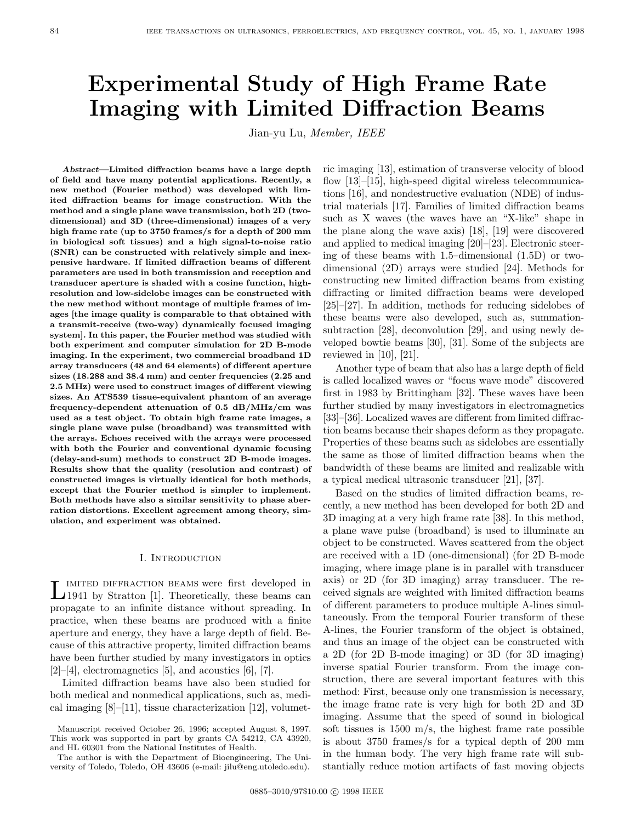# **Experimental Study of High Frame Rate Imaging with Limited Diffraction Beams**

Jian-yu Lu, Member, IEEE

*Abstract***—Limited diffraction beams have a large depth of field and have many potential applications. Recently, a new method (Fourier method) was developed with limited diffraction beams for image construction. With the method and a single plane wave transmission, both 2D (twodimensional) and 3D (three-dimensional) images of a very high frame rate (up to 3750 frames/s for a depth of 200 mm in biological soft tissues) and a high signal-to-noise ratio (SNR) can be constructed with relatively simple and inexpensive hardware. If limited diffraction beams of different parameters are used in both transmission and reception and transducer aperture is shaded with a cosine function, highresolution and low-sidelobe images can be constructed with the new method without montage of multiple frames of images [the image quality is comparable to that obtained with a transmit-receive (two-way) dynamically focused imaging system]. In this paper, the Fourier method was studied with both experiment and computer simulation for 2D B-mode imaging. In the experiment, two commercial broadband 1D array transducers (48 and 64 elements) of different aperture sizes (18.288 and 38.4 mm) and center frequencies (2.25 and 2.5 MHz) were used to construct images of different viewing sizes. An ATS539 tissue-equivalent phantom of an average frequency-dependent attenuation of 0.5 dB/MHz/cm was used as a test object. To obtain high frame rate images, a single plane wave pulse (broadband) was transmitted with the arrays. Echoes received with the arrays were processed with both the Fourier and conventional dynamic focusing (delay-and-sum) methods to construct 2D B-mode images. Results show that the quality (resolution and contrast) of constructed images is virtually identical for both methods, except that the Fourier method is simpler to implement. Both methods have also a similar sensitivity to phase aberration distortions. Excellent agreement among theory, simulation, and experiment was obtained.**

#### I. Introduction

LIMITED DIFFRACTION BEAMS were first developed in 1941 by Stratton [1]. Theoretically, these beams can propagate to an infinite distance without spreading. In practice, when these beams are produced with a finite aperture and energy, they have a large depth of field. Because of this attractive property, limited diffraction beams have been further studied by many investigators in optics  $[2]-[4]$ , electromagnetics  $[5]$ , and acoustics  $[6]$ ,  $[7]$ .

Limited diffraction beams have also been studied for both medical and nonmedical applications, such as, medical imaging [8]–[11], tissue characterization [12], volumet-

ric imaging [13], estimation of transverse velocity of blood flow [13]–[15], high-speed digital wireless telecommunications [16], and nondestructive evaluation (NDE) of industrial materials [17]. Families of limited diffraction beams such as X waves (the waves have an "X-like" shape in the plane along the wave axis) [18], [19] were discovered and applied to medical imaging [20]–[23]. Electronic steering of these beams with 1.5–dimensional (1.5D) or twodimensional (2D) arrays were studied [24]. Methods for constructing new limited diffraction beams from existing diffracting or limited diffraction beams were developed [25]–[27]. In addition, methods for reducing sidelobes of these beams were also developed, such as, summationsubtraction [28], deconvolution [29], and using newly developed bowtie beams [30], [31]. Some of the subjects are reviewed in  $[10]$ ,  $[21]$ .

Another type of beam that also has a large depth of field is called localized waves or "focus wave mode" discovered first in 1983 by Brittingham [32]. These waves have been further studied by many investigators in electromagnetics [33]–[36]. Localized waves are different from limited diffraction beams because their shapes deform as they propagate. Properties of these beams such as sidelobes are essentially the same as those of limited diffraction beams when the bandwidth of these beams are limited and realizable with a typical medical ultrasonic transducer [21], [37].

Based on the studies of limited diffraction beams, recently, a new method has been developed for both 2D and 3D imaging at a very high frame rate [38]. In this method, a plane wave pulse (broadband) is used to illuminate an object to be constructed. Waves scattered from the object are received with a 1D (one-dimensional) (for 2D B-mode imaging, where image plane is in parallel with transducer axis) or 2D (for 3D imaging) array transducer. The received signals are weighted with limited diffraction beams of different parameters to produce multiple A-lines simultaneously. From the temporal Fourier transform of these A-lines, the Fourier transform of the object is obtained, and thus an image of the object can be constructed with a 2D (for 2D B-mode imaging) or 3D (for 3D imaging) inverse spatial Fourier transform. From the image construction, there are several important features with this method: First, because only one transmission is necessary, the image frame rate is very high for both 2D and 3D imaging. Assume that the speed of sound in biological soft tissues is 1500 m/s, the highest frame rate possible is about 3750 frames/s for a typical depth of 200 mm in the human body. The very high frame rate will substantially reduce motion artifacts of fast moving objects

Manuscript received October 26, 1996; accepted August 8, 1997. This work was supported in part by grants CA 54212, CA 43920, and HL 60301 from the National Institutes of Health.

The author is with the Department of Bioengineering, The University of Toledo, Toledo, OH 43606 (e-mail: jilu@eng.utoledo.edu).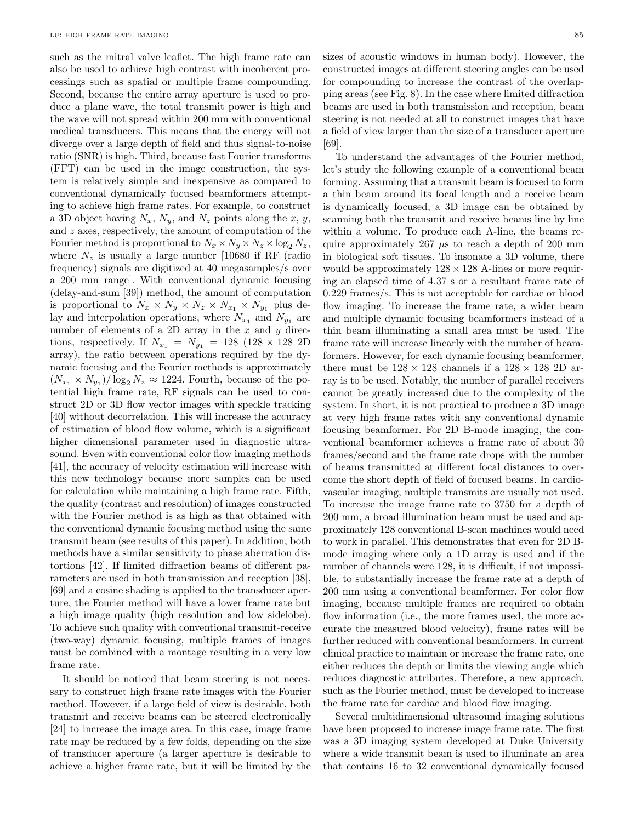such as the mitral valve leaflet. The high frame rate can also be used to achieve high contrast with incoherent processings such as spatial or multiple frame compounding. Second, because the entire array aperture is used to produce a plane wave, the total transmit power is high and the wave will not spread within 200 mm with conventional medical transducers. This means that the energy will not diverge over a large depth of field and thus signal-to-noise ratio (SNR) is high. Third, because fast Fourier transforms (FFT) can be used in the image construction, the system is relatively simple and inexpensive as compared to conventional dynamically focused beamformers attempting to achieve high frame rates. For example, to construct a 3D object having  $N_x$ ,  $N_y$ , and  $N_z$  points along the x, y, and z axes, respectively, the amount of computation of the Fourier method is proportional to  $N_x \times N_y \times N_z \times \log_2 N_z$ , where  $N_z$  is usually a large number [10680 if RF (radio frequency) signals are digitized at 40 megasamples/s over a 200 mm range]. With conventional dynamic focusing (delay-and-sum [39]) method, the amount of computation is proportional to  $N_x \times N_y \times N_z \times N_{x_1} \times N_{y_1}$  plus delay and interpolation operations, where  $N_{x_1}$  and  $N_{y_1}$  are number of elements of a 2D array in the  $x$  and  $y$  directions, respectively. If  $N_{x_1} = N_{y_1} = 128 (128 \times 128 2D)$ array), the ratio between operations required by the dynamic focusing and the Fourier methods is approximately  $(N_{x_1} \times N_{y_1})/\log_2 N_z \approx 1224$ . Fourth, because of the potential high frame rate, RF signals can be used to construct 2D or 3D flow vector images with speckle tracking [40] without decorrelation. This will increase the accuracy of estimation of blood flow volume, which is a significant higher dimensional parameter used in diagnostic ultrasound. Even with conventional color flow imaging methods [41], the accuracy of velocity estimation will increase with this new technology because more samples can be used for calculation while maintaining a high frame rate. Fifth, the quality (contrast and resolution) of images constructed with the Fourier method is as high as that obtained with the conventional dynamic focusing method using the same transmit beam (see results of this paper). In addition, both methods have a similar sensitivity to phase aberration distortions [42]. If limited diffraction beams of different parameters are used in both transmission and reception [38], [69] and a cosine shading is applied to the transducer aperture, the Fourier method will have a lower frame rate but a high image quality (high resolution and low sidelobe). To achieve such quality with conventional transmit-receive (two-way) dynamic focusing, multiple frames of images must be combined with a montage resulting in a very low frame rate.

It should be noticed that beam steering is not necessary to construct high frame rate images with the Fourier method. However, if a large field of view is desirable, both transmit and receive beams can be steered electronically [24] to increase the image area. In this case, image frame rate may be reduced by a few folds, depending on the size of transducer aperture (a larger aperture is desirable to achieve a higher frame rate, but it will be limited by the

sizes of acoustic windows in human body). However, the constructed images at different steering angles can be used for compounding to increase the contrast of the overlapping areas (see Fig. 8). In the case where limited diffraction beams are used in both transmission and reception, beam steering is not needed at all to construct images that have a field of view larger than the size of a transducer aperture [69].

To understand the advantages of the Fourier method, let's study the following example of a conventional beam forming. Assuming that a transmit beam is focused to form a thin beam around its focal length and a receive beam is dynamically focused, a 3D image can be obtained by scanning both the transmit and receive beams line by line within a volume. To produce each A-line, the beams require approximately 267  $\mu$ s to reach a depth of 200 mm in biological soft tissues. To insonate a 3D volume, there would be approximately 128 *×* 128 A-lines or more requiring an elapsed time of 4.37 s or a resultant frame rate of 0.229 frames/s. This is not acceptable for cardiac or blood flow imaging. To increase the frame rate, a wider beam and multiple dynamic focusing beamformers instead of a thin beam illuminating a small area must be used. The frame rate will increase linearly with the number of beamformers. However, for each dynamic focusing beamformer, there must be  $128 \times 128$  channels if a  $128 \times 128$  2D array is to be used. Notably, the number of parallel receivers cannot be greatly increased due to the complexity of the system. In short, it is not practical to produce a 3D image at very high frame rates with any conventional dynamic focusing beamformer. For 2D B-mode imaging, the conventional beamformer achieves a frame rate of about 30 frames/second and the frame rate drops with the number of beams transmitted at different focal distances to overcome the short depth of field of focused beams. In cardiovascular imaging, multiple transmits are usually not used. To increase the image frame rate to 3750 for a depth of 200 mm, a broad illumination beam must be used and approximately 128 conventional B-scan machines would need to work in parallel. This demonstrates that even for 2D Bmode imaging where only a 1D array is used and if the number of channels were 128, it is difficult, if not impossible, to substantially increase the frame rate at a depth of 200 mm using a conventional beamformer. For color flow imaging, because multiple frames are required to obtain flow information (i.e., the more frames used, the more accurate the measured blood velocity), frame rates will be further reduced with conventional beamformers. In current clinical practice to maintain or increase the frame rate, one either reduces the depth or limits the viewing angle which reduces diagnostic attributes. Therefore, a new approach, such as the Fourier method, must be developed to increase the frame rate for cardiac and blood flow imaging.

Several multidimensional ultrasound imaging solutions have been proposed to increase image frame rate. The first was a 3D imaging system developed at Duke University where a wide transmit beam is used to illuminate an area that contains 16 to 32 conventional dynamically focused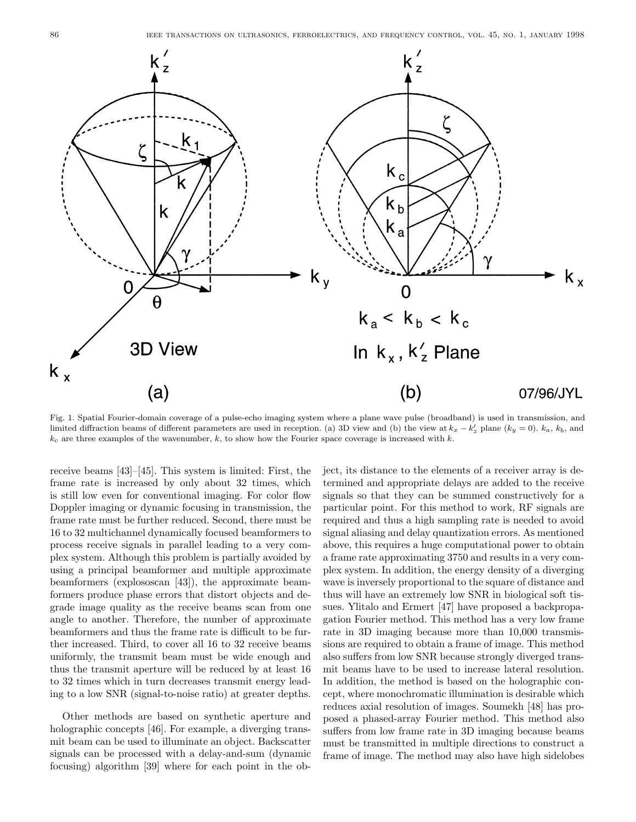

Fig. 1. Spatial Fourier-domain coverage of a pulse-echo imaging system where a plane wave pulse (broadband) is used in transmission, and limited diffraction beams of different parameters are used in reception. (a) 3D view and (b) the view at  $k_x - k'_z$  plane ( $k_y = 0$ ).  $k_a$ ,  $k_b$ , and  $k_c$  are three examples of the wavenumber, k, to show how the Fourier space coverage is increased with k.

receive beams [43]–[45]. This system is limited: First, the frame rate is increased by only about 32 times, which is still low even for conventional imaging. For color flow Doppler imaging or dynamic focusing in transmission, the frame rate must be further reduced. Second, there must be 16 to 32 multichannel dynamically focused beamformers to process receive signals in parallel leading to a very complex system. Although this problem is partially avoided by using a principal beamformer and multiple approximate beamformers (explososcan [43]), the approximate beamformers produce phase errors that distort objects and degrade image quality as the receive beams scan from one angle to another. Therefore, the number of approximate beamformers and thus the frame rate is difficult to be further increased. Third, to cover all 16 to 32 receive beams uniformly, the transmit beam must be wide enough and thus the transmit aperture will be reduced by at least 16 to 32 times which in turn decreases transmit energy leading to a low SNR (signal-to-noise ratio) at greater depths.

Other methods are based on synthetic aperture and holographic concepts [46]. For example, a diverging transmit beam can be used to illuminate an object. Backscatter signals can be processed with a delay-and-sum (dynamic focusing) algorithm [39] where for each point in the object, its distance to the elements of a receiver array is determined and appropriate delays are added to the receive signals so that they can be summed constructively for a particular point. For this method to work, RF signals are required and thus a high sampling rate is needed to avoid signal aliasing and delay quantization errors. As mentioned above, this requires a huge computational power to obtain a frame rate approximating 3750 and results in a very complex system. In addition, the energy density of a diverging wave is inversely proportional to the square of distance and thus will have an extremely low SNR in biological soft tissues. Ylitalo and Ermert [47] have proposed a backpropagation Fourier method. This method has a very low frame rate in 3D imaging because more than 10,000 transmissions are required to obtain a frame of image. This method also suffers from low SNR because strongly diverged transmit beams have to be used to increase lateral resolution. In addition, the method is based on the holographic concept, where monochromatic illumination is desirable which reduces axial resolution of images. Soumekh [48] has proposed a phased-array Fourier method. This method also suffers from low frame rate in 3D imaging because beams must be transmitted in multiple directions to construct a frame of image. The method may also have high sidelobes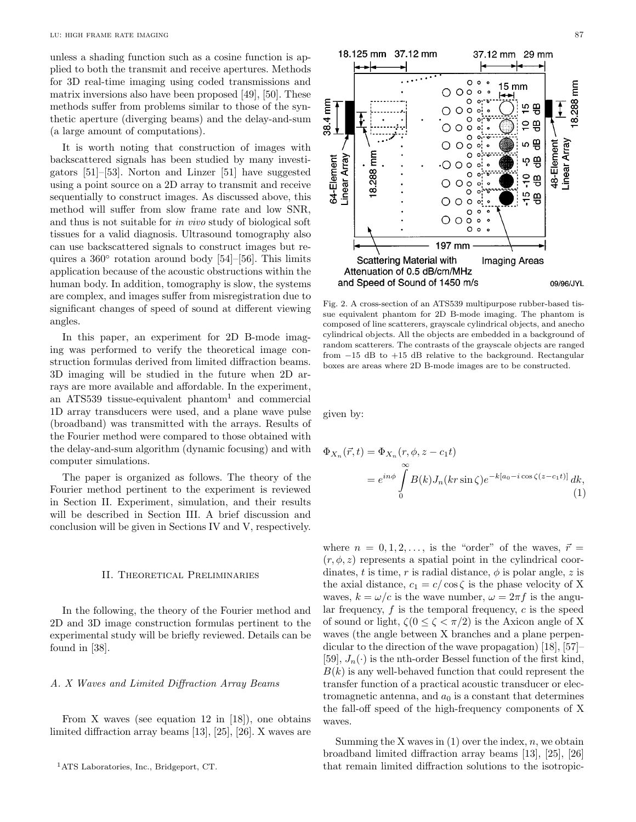unless a shading function such as a cosine function is applied to both the transmit and receive apertures. Methods for 3D real-time imaging using coded transmissions and matrix inversions also have been proposed [49], [50]. These methods suffer from problems similar to those of the synthetic aperture (diverging beams) and the delay-and-sum (a large amount of computations).

It is worth noting that construction of images with backscattered signals has been studied by many investigators [51]–[53]. Norton and Linzer [51] have suggested using a point source on a 2D array to transmit and receive sequentially to construct images. As discussed above, this method will suffer from slow frame rate and low SNR, and thus is not suitable for in vivo study of biological soft tissues for a valid diagnosis. Ultrasound tomography also can use backscattered signals to construct images but requires a 360*◦* rotation around body [54]–[56]. This limits application because of the acoustic obstructions within the human body. In addition, tomography is slow, the systems are complex, and images suffer from misregistration due to significant changes of speed of sound at different viewing angles.

In this paper, an experiment for 2D B-mode imaging was performed to verify the theoretical image construction formulas derived from limited diffraction beams. 3D imaging will be studied in the future when 2D arrays are more available and affordable. In the experiment, an ATS539 tissue-equivalent phantom<sup>1</sup> and commercial 1D array transducers were used, and a plane wave pulse (broadband) was transmitted with the arrays. Results of the Fourier method were compared to those obtained with the delay-and-sum algorithm (dynamic focusing) and with computer simulations.

The paper is organized as follows. The theory of the Fourier method pertinent to the experiment is reviewed in Section II. Experiment, simulation, and their results will be described in Section III. A brief discussion and conclusion will be given in Sections IV and V, respectively.

#### II. Theoretical Preliminaries

In the following, the theory of the Fourier method and 2D and 3D image construction formulas pertinent to the experimental study will be briefly reviewed. Details can be found in [38].

# A. X Waves and Limited Diffraction Array Beams

From X waves (see equation 12 in [18]), one obtains limited diffraction array beams [13], [25], [26]. X waves are



Fig. 2. A cross-section of an ATS539 multipurpose rubber-based tissue equivalent phantom for 2D B-mode imaging. The phantom is composed of line scatterers, grayscale cylindrical objects, and anecho cylindrical objects. All the objects are embedded in a background of random scatterers. The contrasts of the grayscale objects are ranged from *−*15 dB to +15 dB relative to the background. Rectangular boxes are areas where 2D B-mode images are to be constructed.

given by:

$$
\Phi_{X_n}(\vec{r},t) = \Phi_{X_n}(r,\phi,z-c_1t)
$$
\n
$$
= e^{in\phi} \int_{0}^{\infty} B(k)J_n(kr\sin\zeta)e^{-k[a_0 - i\cos\zeta(z-c_1t)]} dk,
$$
\n(1)

where  $n = 0, 1, 2, \ldots$ , is the "order" of the waves,  $\vec{r} =$  $(r, \phi, z)$  represents a spatial point in the cylindrical coordinates, t is time, r is radial distance,  $\phi$  is polar angle, z is the axial distance,  $c_1 = c/\cos\zeta$  is the phase velocity of X waves,  $k = \omega/c$  is the wave number,  $\omega = 2\pi f$  is the angular frequency,  $f$  is the temporal frequency,  $c$  is the speed of sound or light,  $\zeta(0 \leq \zeta \leq \pi/2)$  is the Axicon angle of X waves (the angle between X branches and a plane perpendicular to the direction of the wave propagation) [18], [57]– [59],  $J_n(\cdot)$  is the nth-order Bessel function of the first kind,  $B(k)$  is any well-behaved function that could represent the transfer function of a practical acoustic transducer or electromagnetic antenna, and  $a_0$  is a constant that determines the fall-off speed of the high-frequency components of X waves.

Summing the X waves in  $(1)$  over the index, n, we obtain broadband limited diffraction array beams [13], [25], [26] that remain limited diffraction solutions to the isotropic-

<sup>1</sup>ATS Laboratories, Inc., Bridgeport, CT.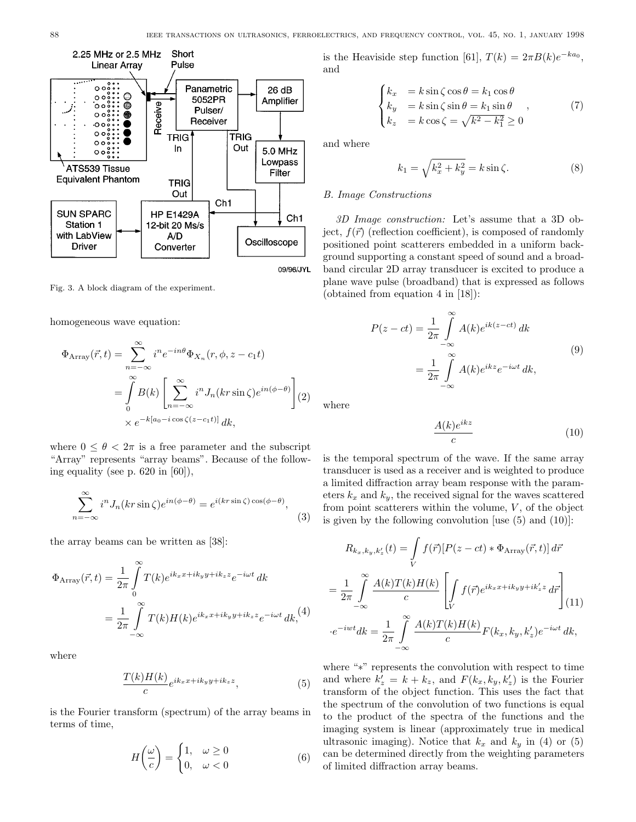

Fig. 3. A block diagram of the experiment.

homogeneous wave equation:

$$
\Phi_{\text{Array}}(\vec{r},t) = \sum_{n=-\infty}^{\infty} i^n e^{-in\theta} \Phi_{X_n}(r,\phi,z-c_1t)
$$

$$
= \int_{0}^{\infty} B(k) \left[ \sum_{n=-\infty}^{\infty} i^n J_n(kr \sin \zeta) e^{in(\phi-\theta)} \right] (2)
$$

$$
\times e^{-k[a_0 - i \cos \zeta(z-c_1t)]} dk,
$$

where  $0 \le \theta \le 2\pi$  is a free parameter and the subscript "Array" represents "array beams". Because of the following equality (see p. 620 in [60]),

$$
\sum_{n=-\infty}^{\infty} i^n J_n(kr \sin \zeta) e^{in(\phi-\theta)} = e^{i(kr \sin \zeta) \cos(\phi-\theta)},
$$
\n(3)

the array beams can be written as [38]:

$$
\Phi_{\text{Array}}(\vec{r},t) = \frac{1}{2\pi} \int_{0}^{\infty} T(k)e^{ik_x x + ik_y y + ik_z z} e^{-i\omega t} dk
$$

$$
= \frac{1}{2\pi} \int_{-\infty}^{\infty} T(k)H(k)e^{ik_x x + ik_y y + ik_z z} e^{-i\omega t} dk,
$$
(4)

where

$$
\frac{T(k)H(k)}{c}e^{ik_x x + ik_y y + ik_z z},\tag{5}
$$

is the Fourier transform (spectrum) of the array beams in terms of time,

$$
H\left(\frac{\omega}{c}\right) = \begin{cases} 1, & \omega \ge 0 \\ 0, & \omega < 0 \end{cases}
$$
 (6)

is the Heaviside step function [61],  $T(k)=2\pi B(k)e^{-ka_0}$ , and

$$
\begin{cases}\nk_x &= k \sin \zeta \cos \theta = k_1 \cos \theta \\
k_y &= k \sin \zeta \sin \theta = k_1 \sin \theta \\
k_z &= k \cos \zeta = \sqrt{k^2 - k_1^2} \ge 0\n\end{cases}
$$
\n(7)

and where

$$
k_1 = \sqrt{k_x^2 + k_y^2} = k \sin \zeta. \tag{8}
$$

#### B. Image Constructions

3D Image construction: Let's assume that a 3D object,  $f(\vec{r})$  (reflection coefficient), is composed of randomly positioned point scatterers embedded in a uniform background supporting a constant speed of sound and a broadband circular 2D array transducer is excited to produce a plane wave pulse (broadband) that is expressed as follows (obtained from equation 4 in [18]):

$$
P(z - ct) = \frac{1}{2\pi} \int_{-\infty}^{\infty} A(k)e^{ik(z - ct)} dk
$$
  
= 
$$
\frac{1}{2\pi} \int_{-\infty}^{\infty} A(k)e^{ikz}e^{-i\omega t} dk,
$$
 (9)

where

$$
\frac{A(k)e^{ikz}}{c} \tag{10}
$$

is the temporal spectrum of the wave. If the same array transducer is used as a receiver and is weighted to produce a limited diffraction array beam response with the parameters  $k_x$  and  $k_y$ , the received signal for the waves scattered from point scatterers within the volume,  $V$ , of the object is given by the following convolution [use  $(5)$  and  $(10)$ ]:

$$
R_{k_x, k_y, k'_z}(t) = \int\limits_V f(\vec{r}) [P(z - ct) * \Phi_{\text{Array}}(\vec{r}, t)] d\vec{r}
$$
  
=  $\frac{1}{2\pi} \int\limits_{-\infty}^{\infty} \frac{A(k)T(k)H(k)}{c} \left[ \int\limits_V f(\vec{r}) e^{ik_x x + ik_y y + ik'_z z} d\vec{r} \right]$   
 $\cdot e^{-iwt} dk = \frac{1}{2\pi} \int\limits_{-\infty}^{\infty} \frac{A(k)T(k)H(k)}{c} F(k_x, k_y, k'_z) e^{-i\omega t} dk,$ 

where "*∗*" represents the convolution with respect to time and where  $k'_z = k + k_z$ , and  $F(k_x, k_y, k'_z)$  is the Fourier transform of the object function. This uses the fact that the spectrum of the convolution of two functions is equal to the product of the spectra of the functions and the imaging system is linear (approximately true in medical ultrasonic imaging). Notice that  $k_x$  and  $k_y$  in (4) or (5) can be determined directly from the weighting parameters of limited diffraction array beams.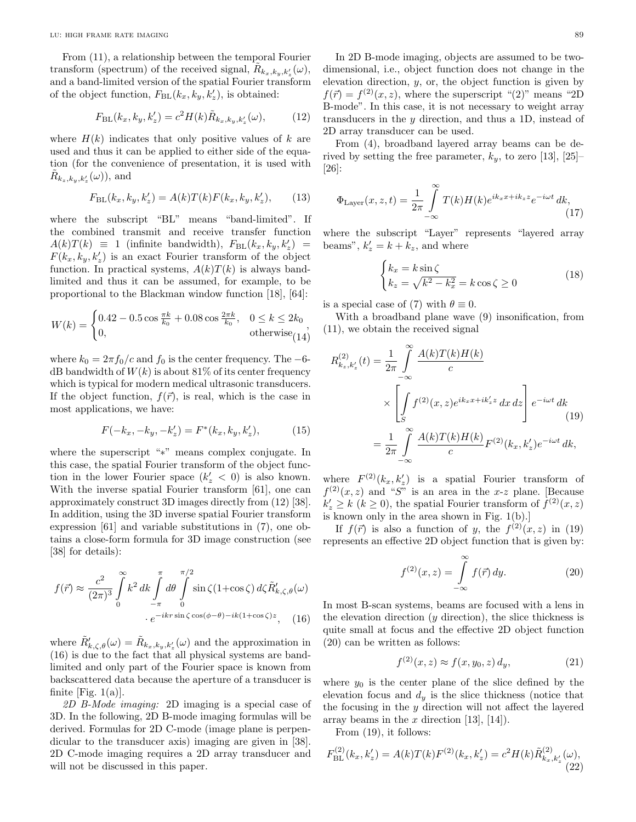From (11), a relationship between the temporal Fourier transform (spectrum) of the received signal,  $\tilde{R}_{k_x,k_y,k_z}(\omega)$ , and a band-limited version of the spatial Fourier transform of the object function,  $F_{BL}(k_x, k_y, k_z')$ , is obtained:

$$
F_{\rm BL}(k_x, k_y, k_z') = c^2 H(k) \tilde{R}_{k_x, k_y, k_z'}(\omega), \tag{12}
$$

where  $H(k)$  indicates that only positive values of k are used and thus it can be applied to either side of the equation (for the convenience of presentation, it is used with  $\tilde{R}_{k_z,k_y,k_z'}(\omega)$ ), and

$$
F_{\rm BL}(k_x, k_y, k_z') = A(k)T(k)F(k_x, k_y, k_z'),\qquad (13)
$$

where the subscript "BL" means "band-limited". If the combined transmit and receive transfer function  $A(k)T(k) \equiv 1$  (infinite bandwidth),  $F_{BL}(k_x, k_y, k_z') =$  $F(k_x, k_y, k_z')$  is an exact Fourier transform of the object function. In practical systems,  $A(k)T(k)$  is always bandlimited and thus it can be assumed, for example, to be proportional to the Blackman window function [18], [64]:

$$
W(k) = \begin{cases} 0.42 - 0.5 \cos \frac{\pi k}{k_0} + 0.08 \cos \frac{2\pi k}{k_0}, & 0 \le k \le 2k_0 \\ 0, & \text{otherwise} \end{cases}
$$

where  $k_0 = 2\pi f_0/c$  and  $f_0$  is the center frequency. The *−*6dB bandwidth of  $W(k)$  is about 81% of its center frequency which is typical for modern medical ultrasonic transducers. If the object function,  $f(\vec{r})$ , is real, which is the case in most applications, we have:

$$
F(-k_x, -k_y, -k_z') = F^*(k_x, k_y, k_z'),\tag{15}
$$

where the superscript "*∗*" means complex conjugate. In this case, the spatial Fourier transform of the object function in the lower Fourier space  $(k'_z < 0)$  is also known. With the inverse spatial Fourier transform [61], one can approximately construct 3D images directly from (12) [38]. In addition, using the 3D inverse spatial Fourier transform expression [61] and variable substitutions in (7), one obtains a close-form formula for 3D image construction (see [38] for details):

$$
f(\vec{r}) \approx \frac{c^2}{(2\pi)^3} \int_0^{\infty} k^2 dk \int_{-\pi}^{\pi} d\theta \int_0^{\pi/2} \sin \zeta (1 + \cos \zeta) d\zeta \tilde{R}'_{k,\zeta,\theta}(\omega)
$$

$$
+ e^{-ikr \sin \zeta \cos(\phi - \theta) - ik(1 + \cos \zeta)z}, \quad (16)
$$

where  $\tilde{R}^{\prime}_{k,\zeta,\theta}(\omega) = \tilde{R}_{k_x,k_y,k_z}(\omega)$  and the approximation in (16) is due to the fact that all physical systems are bandlimited and only part of the Fourier space is known from backscattered data because the aperture of a transducer is finite  $[Fig. 1(a)].$ 

2D B-Mode imaging: 2D imaging is a special case of 3D. In the following, 2D B-mode imaging formulas will be derived. Formulas for 2D C-mode (image plane is perpendicular to the transducer axis) imaging are given in [38]. 2D C-mode imaging requires a 2D array transducer and will not be discussed in this paper.

In 2D B-mode imaging, objects are assumed to be twodimensional, i.e., object function does not change in the elevation direction,  $y$ , or, the object function is given by  $f(\vec{r}) = f^{(2)}(x, z)$ , where the superscript "(2)" means "2D B-mode". In this case, it is not necessary to weight array transducers in the  $y$  direction, and thus a 1D, instead of 2D array transducer can be used.

From (4), broadband layered array beams can be derived by setting the free parameter,  $k_y$ , to zero [13], [25]– [26]:

$$
\Phi_{\text{Layer}}(x, z, t) = \frac{1}{2\pi} \int_{-\infty}^{\infty} T(k)H(k)e^{ik_x x + ik_z z} e^{-i\omega t} dk,
$$
\n(17)

where the subscript "Layer" represents "layered array beams",  $k'_z = k + k_z$ , and where

$$
\begin{cases} k_x = k \sin \zeta \\ k_z = \sqrt{k^2 - k_x^2} = k \cos \zeta \ge 0 \end{cases}
$$
 (18)

is a special case of (7) with  $\theta \equiv 0$ .

With a broadband plane wave (9) insonification, from (11), we obtain the received signal

$$
R_{k_z,k'_z}^{(2)}(t) = \frac{1}{2\pi} \int_{-\infty}^{\infty} \frac{A(k)T(k)H(k)}{c}
$$
  
 
$$
\times \left[ \int_{S} f^{(2)}(x,z)e^{ik_x x + ik'_z z} dx dz \right] e^{-i\omega t} dk
$$
  
\n
$$
= \frac{1}{2\pi} \int_{-\infty}^{\infty} \frac{A(k)T(k)H(k)}{c} F^{(2)}(k_x, k'_z) e^{-i\omega t} dk,
$$
 (19)

where  $F^{(2)}(k_x, k'_z)$  is a spatial Fourier transform of  $f^{(2)}(x, z)$  and "S" is an area in the x-z plane. [Because  $k'_z \geq k$  ( $k \geq 0$ ), the spatial Fourier transform of  $f^{(2)}(x, z)$ is known only in the area shown in Fig. 1(b).]

If  $f(\vec{r})$  is also a function of y, the  $f^{(2)}(x, z)$  in (19) represents an effective 2D object function that is given by:

$$
f^{(2)}(x,z) = \int_{-\infty}^{\infty} f(\vec{r}) \, dy. \tag{20}
$$

In most B-scan systems, beams are focused with a lens in the elevation direction  $(y \text{ direction})$ , the slice thickness is quite small at focus and the effective 2D object function (20) can be written as follows:

$$
f^{(2)}(x, z) \approx f(x, y_0, z) d_y,
$$
 (21)

where  $y_0$  is the center plane of the slice defined by the elevation focus and  $d_y$  is the slice thickness (notice that the focusing in the  $y$  direction will not affect the layered array beams in the x direction [13], [14]).

From (19), it follows:

$$
F_{\rm BL}^{(2)}(k_x, k_z') = A(k)T(k)F^{(2)}(k_x, k_z') = c^2 H(k)\tilde{R}_{k_x, k_z'}^{(2)}(\omega),
$$
\n(22)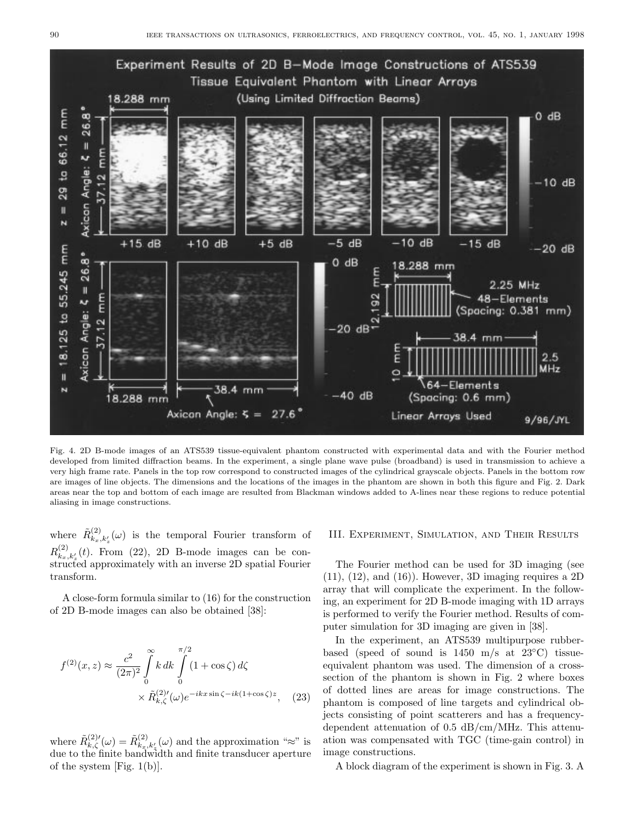

Fig. 4. 2D B-mode images of an ATS539 tissue-equivalent phantom constructed with experimental data and with the Fourier method developed from limited diffraction beams. In the experiment, a single plane wave pulse (broadband) is used in transmission to achieve a very high frame rate. Panels in the top row correspond to constructed images of the cylindrical grayscale objects. Panels in the bottom row are images of line objects. The dimensions and the locations of the images in the phantom are shown in both this figure and Fig. 2. Dark areas near the top and bottom of each image are resulted from Blackman windows added to A-lines near these regions to reduce potential aliasing in image constructions.

where  $\tilde{R}_{k_x,k'_z}^{(2)}(\omega)$  is the temporal Fourier transform of  $R_{k_x,k'_z}^{(2)}(t)$ . From (22), 2D B-mode images can be constructed approximately with an inverse  $\overrightarrow{2D}$  spatial Fourier transform.

A close-form formula similar to (16) for the construction of 2D B-mode images can also be obtained [38]:

$$
f^{(2)}(x,z) \approx \frac{c^2}{(2\pi)^2} \int_0^\infty k \, dk \int_0^{\pi/2} (1 + \cos \zeta) \, d\zeta
$$

$$
\times \tilde{R}_{k,\zeta}^{(2)\prime}(\omega) e^{-ikx \sin \zeta - ik(1 + \cos \zeta)z}, \quad (23)
$$

where  $\tilde{R}_{k,\zeta}^{(2)'}(\omega) = \tilde{R}_{k_x,k'_z}^{(2)}(\omega)$  and the approximation " $\approx$ " is due to the finite bandwidth and finite transducer aperture of the system [Fig. 1(b)].

#### III. Experiment, Simulation, and Their Results

The Fourier method can be used for 3D imaging (see  $(11)$ ,  $(12)$ , and  $(16)$ ). However, 3D imaging requires a 2D array that will complicate the experiment. In the following, an experiment for 2D B-mode imaging with 1D arrays is performed to verify the Fourier method. Results of computer simulation for 3D imaging are given in [38].

In the experiment, an ATS539 multipurpose rubberbased (speed of sound is 1450 m/s at 23*◦*C) tissueequivalent phantom was used. The dimension of a crosssection of the phantom is shown in Fig. 2 where boxes of dotted lines are areas for image constructions. The phantom is composed of line targets and cylindrical objects consisting of point scatterers and has a frequencydependent attenuation of 0.5 dB/cm/MHz. This attenuation was compensated with TGC (time-gain control) in image constructions.

A block diagram of the experiment is shown in Fig. 3. A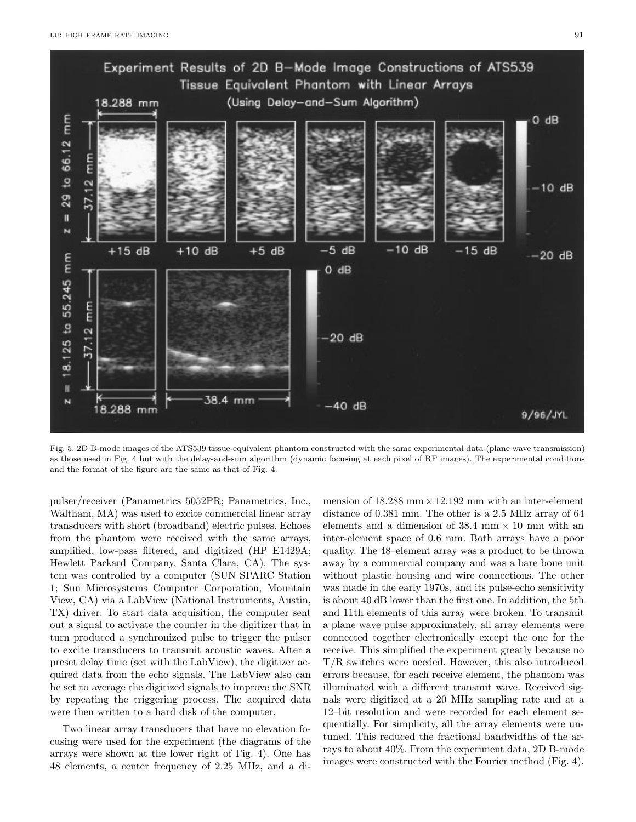



Fig. 5. 2D B-mode images of the ATS539 tissue-equivalent phantom constructed with the same experimental data (plane wave transmission) as those used in Fig. 4 but with the delay-and-sum algorithm (dynamic focusing at each pixel of RF images). The experimental conditions and the format of the figure are the same as that of Fig. 4.

pulser/receiver (Panametrics 5052PR; Panametrics, Inc., Waltham, MA) was used to excite commercial linear array transducers with short (broadband) electric pulses. Echoes from the phantom were received with the same arrays, amplified, low-pass filtered, and digitized (HP E1429A; Hewlett Packard Company, Santa Clara, CA). The system was controlled by a computer (SUN SPARC Station 1; Sun Microsystems Computer Corporation, Mountain View, CA) via a LabView (National Instruments, Austin, TX) driver. To start data acquisition, the computer sent out a signal to activate the counter in the digitizer that in turn produced a synchronized pulse to trigger the pulser to excite transducers to transmit acoustic waves. After a preset delay time (set with the LabView), the digitizer acquired data from the echo signals. The LabView also can be set to average the digitized signals to improve the SNR by repeating the triggering process. The acquired data were then written to a hard disk of the computer.

Two linear array transducers that have no elevation focusing were used for the experiment (the diagrams of the arrays were shown at the lower right of Fig. 4). One has 48 elements, a center frequency of 2.25 MHz, and a di-

mension of 18.288 mm *×* 12.192 mm with an inter-element distance of 0.381 mm. The other is a 2.5 MHz array of 64 elements and a dimension of 38.4 mm *×* 10 mm with an inter-element space of 0.6 mm. Both arrays have a poor quality. The 48–element array was a product to be thrown away by a commercial company and was a bare bone unit without plastic housing and wire connections. The other was made in the early 1970s, and its pulse-echo sensitivity is about 40 dB lower than the first one. In addition, the 5th and 11th elements of this array were broken. To transmit a plane wave pulse approximately, all array elements were connected together electronically except the one for the receive. This simplified the experiment greatly because no T/R switches were needed. However, this also introduced errors because, for each receive element, the phantom was illuminated with a different transmit wave. Received signals were digitized at a 20 MHz sampling rate and at a 12–bit resolution and were recorded for each element sequentially. For simplicity, all the array elements were untuned. This reduced the fractional bandwidths of the arrays to about 40%. From the experiment data, 2D B-mode images were constructed with the Fourier method (Fig. 4).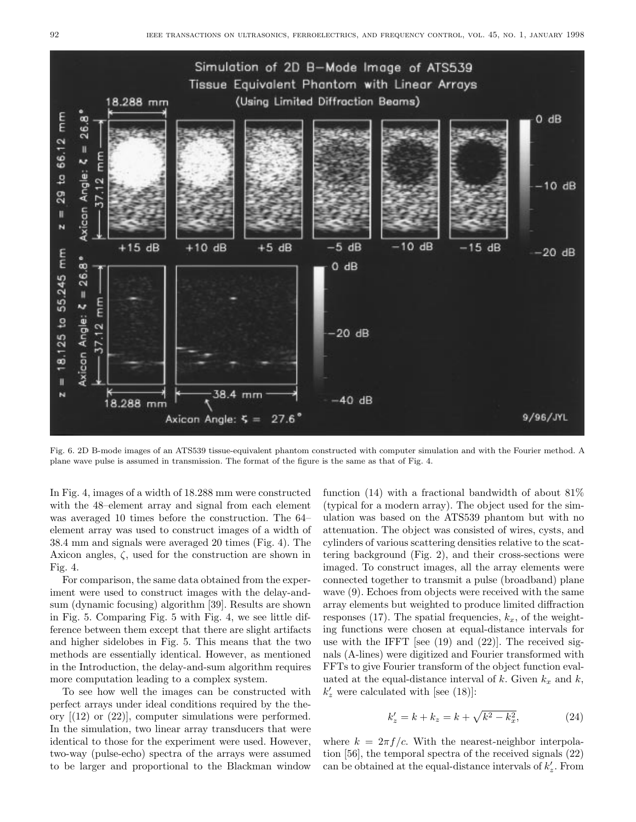

Fig. 6. 2D B-mode images of an ATS539 tissue-equivalent phantom constructed with computer simulation and with the Fourier method. A plane wave pulse is assumed in transmission. The format of the figure is the same as that of Fig. 4.

In Fig. 4, images of a width of 18.288 mm were constructed with the 48–element array and signal from each element was averaged 10 times before the construction. The 64– element array was used to construct images of a width of 38.4 mm and signals were averaged 20 times (Fig. 4). The Axicon angles,  $\zeta$ , used for the construction are shown in Fig. 4.

For comparison, the same data obtained from the experiment were used to construct images with the delay-andsum (dynamic focusing) algorithm [39]. Results are shown in Fig. 5. Comparing Fig. 5 with Fig. 4, we see little difference between them except that there are slight artifacts and higher sidelobes in Fig. 5. This means that the two methods are essentially identical. However, as mentioned in the Introduction, the delay-and-sum algorithm requires more computation leading to a complex system.

To see how well the images can be constructed with perfect arrays under ideal conditions required by the theory [(12) or (22)], computer simulations were performed. In the simulation, two linear array transducers that were identical to those for the experiment were used. However, two-way (pulse-echo) spectra of the arrays were assumed to be larger and proportional to the Blackman window

function (14) with a fractional bandwidth of about 81% (typical for a modern array). The object used for the simulation was based on the ATS539 phantom but with no attenuation. The object was consisted of wires, cysts, and cylinders of various scattering densities relative to the scattering background (Fig. 2), and their cross-sections were imaged. To construct images, all the array elements were connected together to transmit a pulse (broadband) plane wave (9). Echoes from objects were received with the same array elements but weighted to produce limited diffraction responses (17). The spatial frequencies,  $k_x$ , of the weighting functions were chosen at equal-distance intervals for use with the IFFT [see (19) and (22)]. The received signals (A-lines) were digitized and Fourier transformed with FFTs to give Fourier transform of the object function evaluated at the equal-distance interval of  $k$ . Given  $k_x$  and  $k$ ,  $k'_{z}$  were calculated with [see  $(18)$ ]:

$$
k'_z = k + k_z = k + \sqrt{k^2 - k_x^2},\tag{24}
$$

where  $k = 2\pi f/c$ . With the nearest-neighbor interpolation [56], the temporal spectra of the received signals (22) can be obtained at the equal-distance intervals of  $k'_{z}$ . From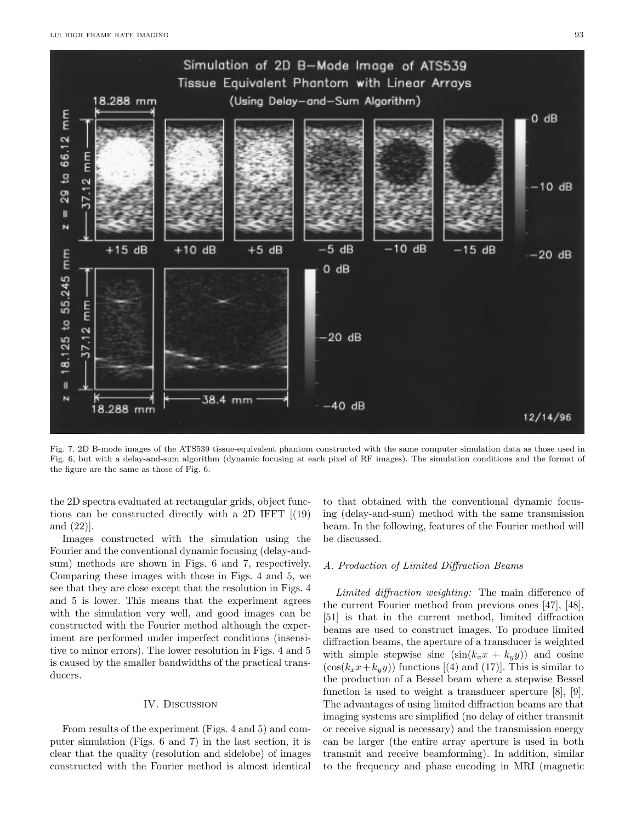

Fig. 7. 2D B-mode images of the ATS539 tissue-equivalent phantom constructed with the same computer simulation data as those used in Fig. 6, but with a delay-and-sum algorithm (dynamic focusing at each pixel of RF images). The simulation conditions and the format of the figure are the same as those of Fig. 6.

the 2D spectra evaluated at rectangular grids, object functions can be constructed directly with a 2D IFFT [(19) and (22)].

Images constructed with the simulation using the Fourier and the conventional dynamic focusing (delay-andsum) methods are shown in Figs. 6 and 7, respectively. Comparing these images with those in Figs. 4 and 5, we see that they are close except that the resolution in Figs. 4 and 5 is lower. This means that the experiment agrees with the simulation very well, and good images can be constructed with the Fourier method although the experiment are performed under imperfect conditions (insensitive to minor errors). The lower resolution in Figs. 4 and 5 is caused by the smaller bandwidths of the practical transducers.

## IV. Discussion

From results of the experiment (Figs. 4 and 5) and computer simulation (Figs. 6 and 7) in the last section, it is clear that the quality (resolution and sidelobe) of images constructed with the Fourier method is almost identical

to that obtained with the conventional dynamic focusing (delay-and-sum) method with the same transmission beam. In the following, features of the Fourier method will be discussed.

# A. Production of Limited Diffraction Beams

Limited diffraction weighting: The main difference of the current Fourier method from previous ones [47], [48], [51] is that in the current method, limited diffraction beams are used to construct images. To produce limited diffraction beams, the aperture of a transducer is weighted with simple stepwise sine  $(\sin(k_x x + k_y y))$  and cosine  $(\cos(k_x x + k_y y))$  functions [(4) and (17)]. This is similar to the production of a Bessel beam where a stepwise Bessel function is used to weight a transducer aperture [8], [9]. The advantages of using limited diffraction beams are that imaging systems are simplified (no delay of either transmit or receive signal is necessary) and the transmission energy can be larger (the entire array aperture is used in both transmit and receive beamforming). In addition, similar to the frequency and phase encoding in MRI (magnetic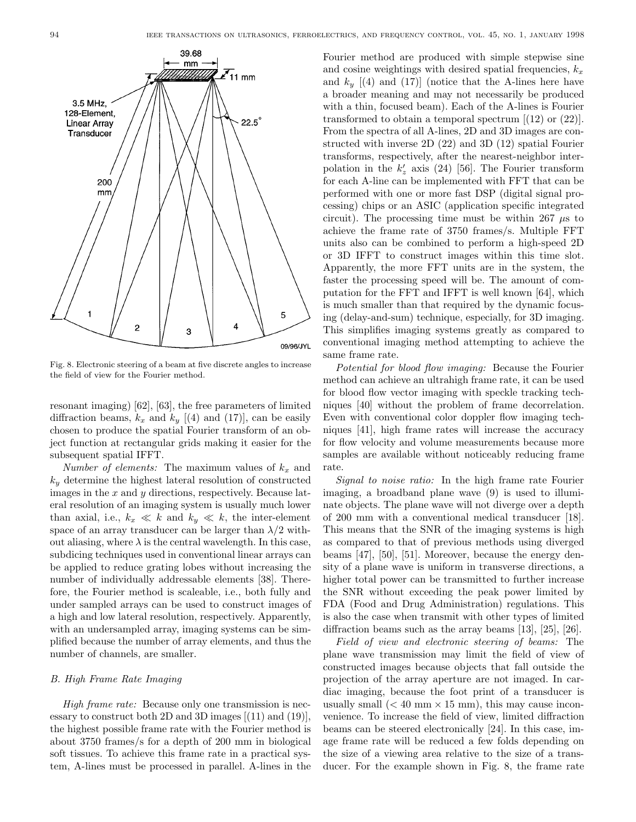

Fig. 8. Electronic steering of a beam at five discrete angles to increase the field of view for the Fourier method.

resonant imaging) [62], [63], the free parameters of limited diffraction beams,  $k_x$  and  $k_y$  [(4) and (17)], can be easily chosen to produce the spatial Fourier transform of an object function at rectangular grids making it easier for the subsequent spatial IFFT.

Number of elements: The maximum values of  $k_x$  and  $k_y$  determine the highest lateral resolution of constructed images in the  $x$  and  $y$  directions, respectively. Because lateral resolution of an imaging system is usually much lower than axial, i.e.,  $k_x \ll k$  and  $k_y \ll k$ , the inter-element space of an array transducer can be larger than  $\lambda/2$  without aliasing, where  $\lambda$  is the central wavelength. In this case, subdicing techniques used in conventional linear arrays can be applied to reduce grating lobes without increasing the number of individually addressable elements [38]. Therefore, the Fourier method is scaleable, i.e., both fully and under sampled arrays can be used to construct images of a high and low lateral resolution, respectively. Apparently, with an undersampled array, imaging systems can be simplified because the number of array elements, and thus the number of channels, are smaller.

# B. High Frame Rate Imaging

High frame rate: Because only one transmission is necessary to construct both 2D and 3D images [(11) and (19)], the highest possible frame rate with the Fourier method is about 3750 frames/s for a depth of 200 mm in biological soft tissues. To achieve this frame rate in a practical system, A-lines must be processed in parallel. A-lines in the

Fourier method are produced with simple stepwise sine and cosine weightings with desired spatial frequencies,  $k_x$ and  $k_y$  [(4) and (17)] (notice that the A-lines here have a broader meaning and may not necessarily be produced with a thin, focused beam). Each of the A-lines is Fourier transformed to obtain a temporal spectrum  $[(12)$  or  $(22)]$ . From the spectra of all A-lines, 2D and 3D images are constructed with inverse 2D (22) and 3D (12) spatial Fourier transforms, respectively, after the nearest-neighbor interpolation in the  $k'_z$  axis (24) [56]. The Fourier transform for each A-line can be implemented with FFT that can be performed with one or more fast DSP (digital signal processing) chips or an ASIC (application specific integrated circuit). The processing time must be within 267  $\mu$ s to achieve the frame rate of 3750 frames/s. Multiple FFT units also can be combined to perform a high-speed 2D or 3D IFFT to construct images within this time slot. Apparently, the more FFT units are in the system, the faster the processing speed will be. The amount of computation for the FFT and IFFT is well known [64], which is much smaller than that required by the dynamic focusing (delay-and-sum) technique, especially, for 3D imaging. This simplifies imaging systems greatly as compared to conventional imaging method attempting to achieve the same frame rate.

Potential for blood flow imaging: Because the Fourier method can achieve an ultrahigh frame rate, it can be used for blood flow vector imaging with speckle tracking techniques [40] without the problem of frame decorrelation. Even with conventional color doppler flow imaging techniques [41], high frame rates will increase the accuracy for flow velocity and volume measurements because more samples are available without noticeably reducing frame rate.

Signal to noise ratio: In the high frame rate Fourier imaging, a broadband plane wave (9) is used to illuminate objects. The plane wave will not diverge over a depth of 200 mm with a conventional medical transducer [18]. This means that the SNR of the imaging systems is high as compared to that of previous methods using diverged beams [47], [50], [51]. Moreover, because the energy density of a plane wave is uniform in transverse directions, a higher total power can be transmitted to further increase the SNR without exceeding the peak power limited by FDA (Food and Drug Administration) regulations. This is also the case when transmit with other types of limited diffraction beams such as the array beams [13], [25], [26].

Field of view and electronic steering of beams: The plane wave transmission may limit the field of view of constructed images because objects that fall outside the projection of the array aperture are not imaged. In cardiac imaging, because the foot print of a transducer is usually small  $( $40 \text{ mm} \times 15 \text{ mm}$ ), this may cause incon$ venience. To increase the field of view, limited diffraction beams can be steered electronically [24]. In this case, image frame rate will be reduced a few folds depending on the size of a viewing area relative to the size of a transducer. For the example shown in Fig. 8, the frame rate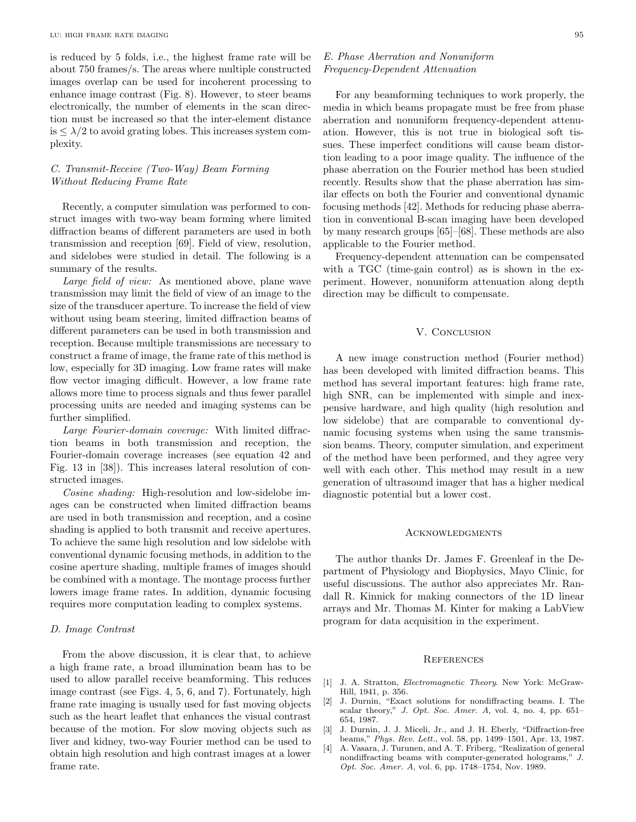is reduced by 5 folds, i.e., the highest frame rate will be about 750 frames/s. The areas where multiple constructed images overlap can be used for incoherent processing to enhance image contrast (Fig. 8). However, to steer beams electronically, the number of elements in the scan direction must be increased so that the inter-element distance is  $\leq \lambda/2$  to avoid grating lobes. This increases system complexity.

# C. Transmit-Receive (Two-Way) Beam Forming Without Reducing Frame Rate

Recently, a computer simulation was performed to construct images with two-way beam forming where limited diffraction beams of different parameters are used in both transmission and reception [69]. Field of view, resolution, and sidelobes were studied in detail. The following is a summary of the results.

Large field of view: As mentioned above, plane wave transmission may limit the field of view of an image to the size of the transducer aperture. To increase the field of view without using beam steering, limited diffraction beams of different parameters can be used in both transmission and reception. Because multiple transmissions are necessary to construct a frame of image, the frame rate of this method is low, especially for 3D imaging. Low frame rates will make flow vector imaging difficult. However, a low frame rate allows more time to process signals and thus fewer parallel processing units are needed and imaging systems can be further simplified.

Large Fourier-domain coverage: With limited diffraction beams in both transmission and reception, the Fourier-domain coverage increases (see equation 42 and Fig. 13 in [38]). This increases lateral resolution of constructed images.

Cosine shading: High-resolution and low-sidelobe images can be constructed when limited diffraction beams are used in both transmission and reception, and a cosine shading is applied to both transmit and receive apertures. To achieve the same high resolution and low sidelobe with conventional dynamic focusing methods, in addition to the cosine aperture shading, multiple frames of images should be combined with a montage. The montage process further lowers image frame rates. In addition, dynamic focusing requires more computation leading to complex systems.

#### D. Image Contrast

From the above discussion, it is clear that, to achieve a high frame rate, a broad illumination beam has to be used to allow parallel receive beamforming. This reduces image contrast (see Figs. 4, 5, 6, and 7). Fortunately, high frame rate imaging is usually used for fast moving objects such as the heart leaflet that enhances the visual contrast because of the motion. For slow moving objects such as liver and kidney, two-way Fourier method can be used to obtain high resolution and high contrast images at a lower frame rate.

# E. Phase Aberration and Nonuniform Frequency-Dependent Attenuation

For any beamforming techniques to work properly, the media in which beams propagate must be free from phase aberration and nonuniform frequency-dependent attenuation. However, this is not true in biological soft tissues. These imperfect conditions will cause beam distortion leading to a poor image quality. The influence of the phase aberration on the Fourier method has been studied recently. Results show that the phase aberration has similar effects on both the Fourier and conventional dynamic focusing methods [42]. Methods for reducing phase aberration in conventional B-scan imaging have been developed by many research groups [65]–[68]. These methods are also applicable to the Fourier method.

Frequency-dependent attenuation can be compensated with a TGC (time-gain control) as is shown in the experiment. However, nonuniform attenuation along depth direction may be difficult to compensate.

## V. CONCLUSION

A new image construction method (Fourier method) has been developed with limited diffraction beams. This method has several important features: high frame rate, high SNR, can be implemented with simple and inexpensive hardware, and high quality (high resolution and low sidelobe) that are comparable to conventional dynamic focusing systems when using the same transmission beams. Theory, computer simulation, and experiment of the method have been performed, and they agree very well with each other. This method may result in a new generation of ultrasound imager that has a higher medical diagnostic potential but a lower cost.

#### **ACKNOWLEDGMENTS**

The author thanks Dr. James F. Greenleaf in the Department of Physiology and Biophysics, Mayo Clinic, for useful discussions. The author also appreciates Mr. Randall R. Kinnick for making connectors of the 1D linear arrays and Mr. Thomas M. Kinter for making a LabView program for data acquisition in the experiment.

#### **REFERENCES**

- [1] J. A. Stratton, Electromagnetic Theory. New York: McGraw-Hill, 1941, p. 356.
- [2] J. Durnin, "Exact solutions for nondiffracting beams. I. The scalar theory," J. Opt. Soc. Amer. A, vol. 4, no. 4, pp. 651– 654, 1987.
- [3] J. Durnin, J. J. Miceli, Jr., and J. H. Eberly, "Diffraction-free beams," Phys. Rev. Lett., vol. 58, pp. 1499–1501, Apr. 13, 1987.
- [4] A. Vasara, J. Turunen, and A. T. Friberg, "Realization of general nondiffracting beams with computer-generated holograms," J. Opt. Soc. Amer. A, vol. 6, pp. 1748–1754, Nov. 1989.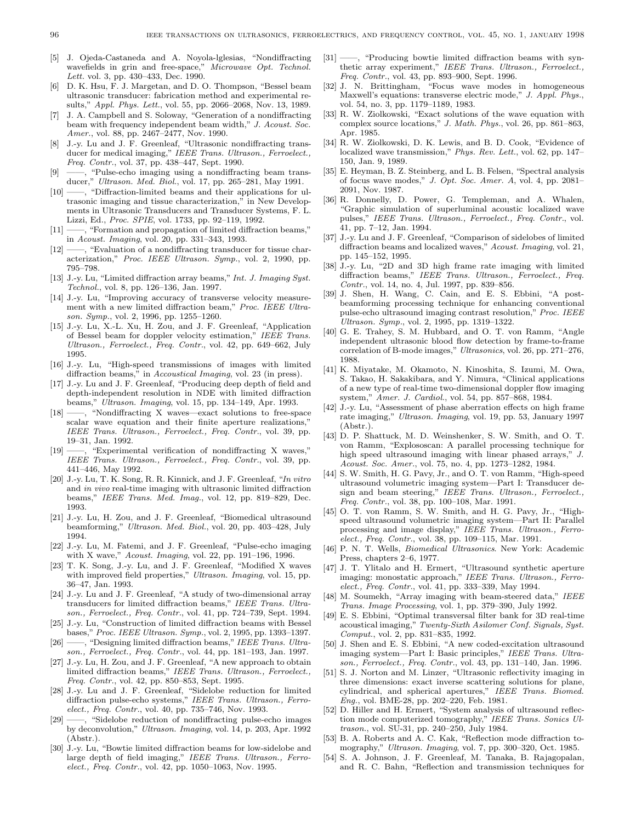- [5] J. Ojeda-Castaneda and A. Noyola-lglesias, "Nondiffracting wavefields in grin and free-space," Microwave Opt. Technol. Lett. vol. 3, pp. 430–433, Dec. 1990.
- [6] D. K. Hsu, F. J. Margetan, and D. O. Thompson, "Bessel beam ultrasonic transducer: fabrication method and experimental results," Appl. Phys. Lett., vol. 55, pp. 2066–2068, Nov. 13, 1989.
- [7] J. A. Campbell and S. Soloway, "Generation of a nondiffracting beam with frequency independent beam width," J. Acoust. Soc. Amer., vol. 88, pp. 2467–2477, Nov. 1990.
- [8] J.-y. Lu and J. F. Greenleaf, "Ultrasonic nondiffracting transducer for medical imaging," IEEE Trans. Ultrason., Ferroelect., Freq. Contr., vol. 37, pp. 438–447, Sept. 1990.
- [9] ——, "Pulse-echo imaging using a nondiffracting beam transducer," Ultrason. Med. Biol., vol. 17, pp. 265–281, May 1991.
- [10] ——, "Diffraction-limited beams and their applications for ultrasonic imaging and tissue characterization," in New Developments in Ultrasonic Transducers and Transducer Systems, F. L. Lizzi, Ed., Proc. SPIE, vol. 1733, pp. 92–119, 1992.
- [11] ——, "Formation and propagation of limited diffraction beams," in Acoust. Imaging, vol. 20, pp. 331–343, 1993.
- [12] ——, "Evaluation of a nondiffracting transducer for tissue characterization," Proc. IEEE Ultrason. Symp., vol. 2, 1990, pp. 795–798.
- [13] J.-y. Lu, "Limited diffraction array beams," Int. J. Imaging Syst. Technol., vol. 8, pp. 126–136, Jan. 1997.
- [14] J.-y. Lu, "Improving accuracy of transverse velocity measurement with a new limited diffraction beam," Proc. IEEE Ultrason. Symp., vol. 2, 1996, pp. 1255–1260.
- [15] J.-y. Lu, X.-L. Xu, H. Zou, and J. F. Greenleaf, "Application of Bessel beam for doppler velocity estimation," IEEE Trans. Ultrason., Ferroelect., Freq. Contr., vol. 42, pp. 649–662, July 1995.
- [16] J.-y. Lu, "High-speed transmissions of images with limited diffraction beams," in Accoustical Imaging, vol. 23 (in press).
- [17] J.-y. Lu and J. F. Greenleaf, "Producing deep depth of field and depth-independent resolution in NDE with limited diffraction beams," Ultrason. Imaging, vol. 15, pp. 134–149, Apr. 1993.
- [18] ——, "Nondiffracting X waves—exact solutions to free-space scalar wave equation and their finite aperture realizations," IEEE Trans. Ultrason., Ferroelect., Freq. Contr., vol. 39, pp. 19–31, Jan. 1992.
- [19] ——, "Experimental verification of nondiffracting X waves," IEEE Trans. Ultrason., Ferroelect., Freq. Contr., vol. 39, pp. 441–446, May 1992.
- [20] J.-y. Lu, T. K. Song, R. R. Kinnick, and J. F. Greenleaf, "In vitro and  $\it{in}$   $\it{vivo}$  real-time imaging with ultrasonic limited diffraction beams," IEEE Trans. Med. Imag., vol. 12, pp. 819–829, Dec. 1993.
- [21] J.-y. Lu, H. Zou, and J. F. Greenleaf, "Biomedical ultrasound beamforming," Ultrason. Med. Biol., vol. 20, pp. 403–428, July 1994.
- [22] J.-y. Lu, M. Fatemi, and J. F. Greenleaf, "Pulse-echo imaging with X wave," Acoust. Imaging, vol. 22, pp. 191–196, 1996.
- [23] T. K. Song, J.-y. Lu, and J. F. Greenleaf, "Modified X waves with improved field properties," Ultrason. Imaging, vol. 15, pp. 36–47, Jan. 1993.
- [24] J.-y. Lu and J. F. Greenleaf, "A study of two-dimensional array transducers for limited diffraction beams," IEEE Trans. Ultrason., Ferroelect., Freq. Contr., vol. 41, pp. 724–739, Sept. 1994.
- [25] J.-y. Lu, "Construction of limited diffraction beams with Bessel bases," Proc. IEEE Ultrason. Symp., vol. 2, 1995, pp. 1393–1397.
- [26] ——, "Designing limited diffraction beams," IEEE Trans. Ultrason., Ferroelect., Freq. Contr., vol. 44, pp. 181–193, Jan. 1997.
- [27] J.-y. Lu, H. Zou, and J. F. Greenleaf, "A new approach to obtain limited diffraction beams," IEEE Trans. Ultrason., Ferroelect., Freq. Contr., vol. 42, pp. 850–853, Sept. 1995.
- [28] J.-y. Lu and J. F. Greenleaf, "Sidelobe reduction for limited diffraction pulse-echo systems," IEEE Trans. Ultrason., Ferroelect., Freq. Contr., vol. 40, pp. 735–746, Nov. 1993.
- [29] ——, "Sidelobe reduction of nondiffracting pulse-echo images by deconvolution," Ultrason. Imaging, vol. 14, p. 203, Apr. 1992 (Abstr.).
- [30] J.-y. Lu, "Bowtie limited diffraction beams for low-sidelobe and large depth of field imaging," IEEE Trans. Ultrason., Ferroelect., Freq. Contr., vol. 42, pp. 1050–1063, Nov. 1995.
- [31] ——, "Producing bowtie limited diffraction beams with synthetic array experiment," IEEE Trans. Ultrason., Ferroelect., Freq. Contr., vol. 43, pp. 893–900, Sept. 1996.
- [32] J. N. Brittingham, "Focus wave modes in homogeneous Maxwell's equations: transverse electric mode," J. Appl. Phys., vol. 54, no. 3, pp. 1179–1189, 1983.
- [33] R. W. Ziolkowski, "Exact solutions of the wave equation with complex source locations," J. Math. Phys., vol. 26, pp. 861–863, Apr. 1985.
- [34] R. W. Ziolkowski, D. K. Lewis, and B. D. Cook, "Evidence of localized wave transmission," Phys. Rev. Lett., vol. 62, pp. 147– 150, Jan. 9, 1989.
- [35] E. Heyman, B. Z. Steinberg, and L. B. Felsen, "Spectral analysis of focus wave modes," J. Opt. Soc. Amer. A, vol. 4, pp. 2081– 2091, Nov. 1987.
- [36] R. Donnelly, D. Power, G. Templeman, and A. Whalen, "Graphic simulation of superluminal acoustic localized wave pulses," IEEE Trans. Ultrason., Ferroelect., Freq. Contr., vol. 41, pp. 7–12, Jan. 1994.
- [37] J.-y. Lu and J. F. Greenleaf, "Comparison of sidelobes of limited diffraction beams and localized waves," Acoust. Imaging, vol. 21, pp. 145–152, 1995.
- [38] J.-y. Lu, "2D and 3D high frame rate imaging with limited diffraction beams," IEEE Trans. Ultrason., Ferroelect., Freq. Contr., vol. 14, no. 4, Jul. 1997, pp. 839–856.
- [39] J. Shen, H. Wang, C. Cain, and E. S. Ebbini, "A postbeamforming processing technique for enhancing conventional pulse-echo ultrasound imaging contrast resolution," Proc. IEEE Ultrason. Symp., vol. 2, 1995, pp. 1319–1322.
- [40] G. E. Trahey, S. M. Hubbard, and O. T. von Ramm, "Angle independent ultrasonic blood flow detection by frame-to-frame correlation of B-mode images," Ultrasonics, vol. 26, pp. 271–276, 1988.
- [41] K. Miyatake, M. Okamoto, N. Kinoshita, S. Izumi, M. Owa, S. Takao, H. Sakakibara, and Y. Nimura, "Clinical applications of a new type of real-time two-dimensional doppler flow imaging system," Amer. J. Cardiol., vol. 54, pp. 857–868, 1984.
- [42] J.-y. Lu, "Assessment of phase aberration effects on high frame rate imaging," Ultrason. Imaging, vol. 19, pp. 53, January 1997 (Abstr.).
- [43] D. P. Shattuck, M. D. Weinshenker, S. W. Smith, and O. T. von Ramm, "Explososcan: A parallel processing technique for high speed ultrasound imaging with linear phased arrays," J. Acoust. Soc. Amer., vol. 75, no. 4, pp. 1273–1282, 1984.
- [44] S. W. Smith, H. G. Pavy, Jr., and O. T. von Ramm, "High-speed ultrasound volumetric imaging system—Part I: Transducer design and beam steering," IEEE Trans. Ultrason., Ferroelect., Freq. Contr., vol. 38, pp. 100–108, Mar. 1991.
- [45] O. T. von Ramm, S. W. Smith, and H. G. Pavy, Jr., "Highspeed ultrasound volumetric imaging system—Part II: Parallel processing and image display," IEEE Trans. Ultrason., Ferroelect., Freq. Contr., vol. 38, pp. 109–115, Mar. 1991.
- [46] P. N. T. Wells, Biomedical Ultrasonics. New York: Academic Press, chapters 2–6, 1977.
- [47] J. T. Ylitalo and H. Ermert, "Ultrasound synthetic aperture imaging: monostatic approach," IEEE Trans. Ultrason., Ferroelect., Freq. Contr., vol. 41, pp. 333–339, May 1994.
- [48] M. Soumekh, "Array imaging with beam-steered data," IEEE Trans. Image Processing, vol. 1, pp. 379–390, July 1992.
- [49] E. S. Ebbini, "Optimal transversal filter bank for 3D real-time acoustical imaging," Twenty-Sixth Asilomer Conf. Signals, Syst. Comput., vol. 2, pp. 831–835, 1992.
- [50] J. Shen and E. S. Ebbini, "A new coded-excitation ultrasound imaging system—Part I: Basic principles," IEEE Trans. Ultrason., Ferroelect., Freq. Contr., vol. 43, pp. 131–140, Jan. 1996.
- [51] S. J. Norton and M. Linzer, "Ultrasonic reflectivity imaging in three dimensions: exact inverse scattering solutions for plane, cylindrical, and spherical apertures," IEEE Trans. Biomed. Eng., vol. BME-28, pp. 202–220, Feb. 1981.
- [52] D. Hiller and H. Ermert, "System analysis of ultrasound reflection mode computerized tomography," IEEE Trans. Sonics Ultrason., vol. SU-31, pp. 240–250, July 1984.
- [53] B. A. Roberts and A. C. Kak, "Reflection mode diffraction tomography," Ultrason. Imaging, vol. 7, pp. 300–320, Oct. 1985.
- [54] S. A. Johnson, J. F. Greenleaf, M. Tanaka, B. Rajagopalan, and R. C. Bahn, "Reflection and transmission techniques for